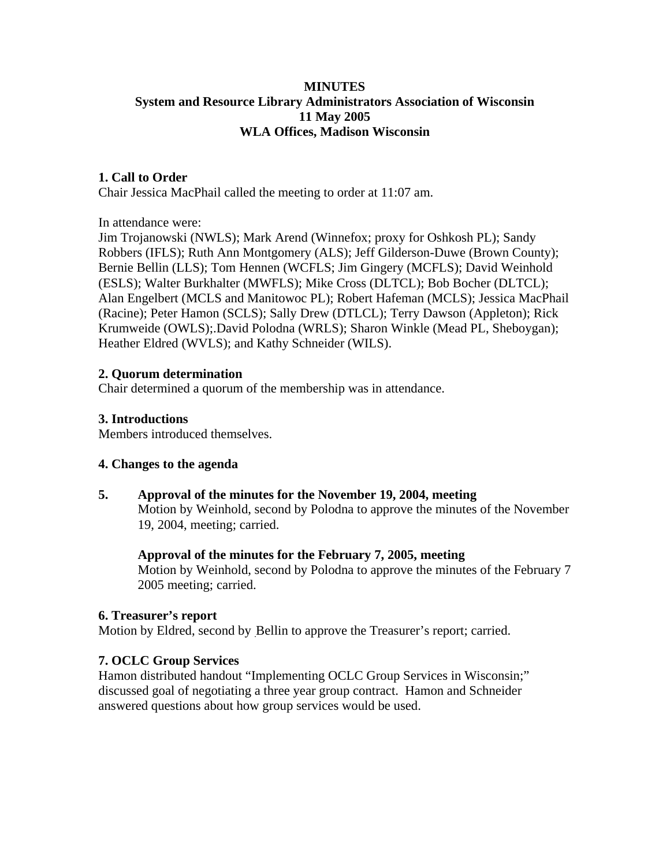# **MINUTES System and Resource Library Administrators Association of Wisconsin 11 May 2005 WLA Offices, Madison Wisconsin**

# **1. Call to Order**

Chair Jessica MacPhail called the meeting to order at 11:07 am.

In attendance were:

Jim Trojanowski (NWLS); Mark Arend (Winnefox; proxy for Oshkosh PL); Sandy Robbers (IFLS); Ruth Ann Montgomery (ALS); Jeff Gilderson-Duwe (Brown County); Bernie Bellin (LLS); Tom Hennen (WCFLS; Jim Gingery (MCFLS); David Weinhold (ESLS); Walter Burkhalter (MWFLS); Mike Cross (DLTCL); Bob Bocher (DLTCL); Alan Engelbert (MCLS and Manitowoc PL); Robert Hafeman (MCLS); Jessica MacPhail (Racine); Peter Hamon (SCLS); Sally Drew (DTLCL); Terry Dawson (Appleton); Rick Krumweide (OWLS);.David Polodna (WRLS); Sharon Winkle (Mead PL, Sheboygan); Heather Eldred (WVLS); and Kathy Schneider (WILS).

## **2. Quorum determination**

Chair determined a quorum of the membership was in attendance.

## **3. Introductions**

Members introduced themselves.

## **4. Changes to the agenda**

**5. Approval of the minutes for the November 19, 2004, meeting**  Motion by Weinhold, second by Polodna to approve the minutes of the November 19, 2004, meeting; carried.

## **Approval of the minutes for the February 7, 2005, meeting**

Motion by Weinhold, second by Polodna to approve the minutes of the February 7 2005 meeting; carried.

## **6. Treasurer's report**

Motion by Eldred, second by Bellin to approve the Treasurer's report; carried.

## **7. OCLC Group Services**

Hamon distributed handout "Implementing OCLC Group Services in Wisconsin;" discussed goal of negotiating a three year group contract. Hamon and Schneider answered questions about how group services would be used.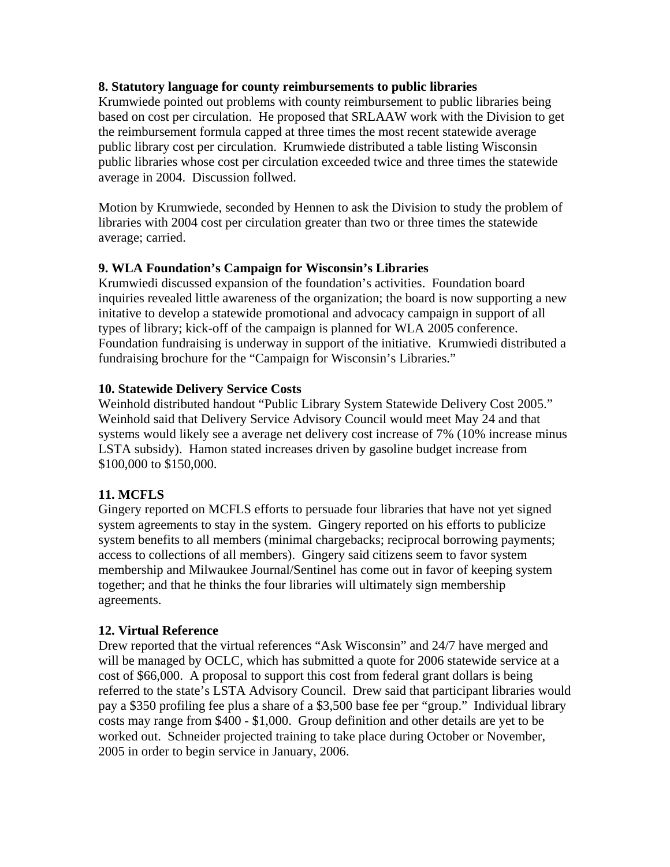## **8. Statutory language for county reimbursements to public libraries**

Krumwiede pointed out problems with county reimbursement to public libraries being based on cost per circulation. He proposed that SRLAAW work with the Division to get the reimbursement formula capped at three times the most recent statewide average public library cost per circulation. Krumwiede distributed a table listing Wisconsin public libraries whose cost per circulation exceeded twice and three times the statewide average in 2004. Discussion follwed.

Motion by Krumwiede, seconded by Hennen to ask the Division to study the problem of libraries with 2004 cost per circulation greater than two or three times the statewide average; carried.

# **9. WLA Foundation's Campaign for Wisconsin's Libraries**

Krumwiedi discussed expansion of the foundation's activities. Foundation board inquiries revealed little awareness of the organization; the board is now supporting a new initative to develop a statewide promotional and advocacy campaign in support of all types of library; kick-off of the campaign is planned for WLA 2005 conference. Foundation fundraising is underway in support of the initiative. Krumwiedi distributed a fundraising brochure for the "Campaign for Wisconsin's Libraries."

## **10. Statewide Delivery Service Costs**

Weinhold distributed handout "Public Library System Statewide Delivery Cost 2005." Weinhold said that Delivery Service Advisory Council would meet May 24 and that systems would likely see a average net delivery cost increase of 7% (10% increase minus LSTA subsidy). Hamon stated increases driven by gasoline budget increase from \$100,000 to \$150,000.

# **11. MCFLS**

Gingery reported on MCFLS efforts to persuade four libraries that have not yet signed system agreements to stay in the system. Gingery reported on his efforts to publicize system benefits to all members (minimal chargebacks; reciprocal borrowing payments; access to collections of all members). Gingery said citizens seem to favor system membership and Milwaukee Journal/Sentinel has come out in favor of keeping system together; and that he thinks the four libraries will ultimately sign membership agreements.

# **12. Virtual Reference**

Drew reported that the virtual references "Ask Wisconsin" and 24/7 have merged and will be managed by OCLC, which has submitted a quote for 2006 statewide service at a cost of \$66,000. A proposal to support this cost from federal grant dollars is being referred to the state's LSTA Advisory Council. Drew said that participant libraries would pay a \$350 profiling fee plus a share of a \$3,500 base fee per "group." Individual library costs may range from \$400 - \$1,000. Group definition and other details are yet to be worked out. Schneider projected training to take place during October or November, 2005 in order to begin service in January, 2006.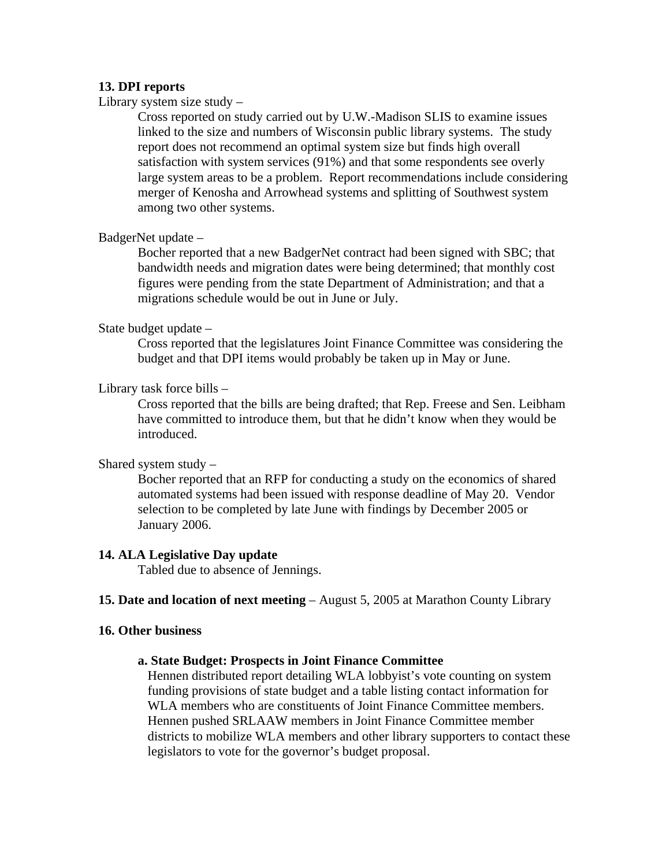### **13. DPI reports**

Library system size study –

Cross reported on study carried out by U.W.-Madison SLIS to examine issues linked to the size and numbers of Wisconsin public library systems. The study report does not recommend an optimal system size but finds high overall satisfaction with system services (91%) and that some respondents see overly large system areas to be a problem. Report recommendations include considering merger of Kenosha and Arrowhead systems and splitting of Southwest system among two other systems.

#### BadgerNet update –

Bocher reported that a new BadgerNet contract had been signed with SBC; that bandwidth needs and migration dates were being determined; that monthly cost figures were pending from the state Department of Administration; and that a migrations schedule would be out in June or July.

#### State budget update –

Cross reported that the legislatures Joint Finance Committee was considering the budget and that DPI items would probably be taken up in May or June.

#### Library task force bills –

Cross reported that the bills are being drafted; that Rep. Freese and Sen. Leibham have committed to introduce them, but that he didn't know when they would be introduced.

### Shared system study –

Bocher reported that an RFP for conducting a study on the economics of shared automated systems had been issued with response deadline of May 20. Vendor selection to be completed by late June with findings by December 2005 or January 2006.

#### **14. ALA Legislative Day update**

Tabled due to absence of Jennings.

#### **15. Date and location of next meeting** – August 5, 2005 at Marathon County Library

#### **16. Other business**

#### **a. State Budget: Prospects in Joint Finance Committee**

Hennen distributed report detailing WLA lobbyist's vote counting on system funding provisions of state budget and a table listing contact information for WLA members who are constituents of Joint Finance Committee members. Hennen pushed SRLAAW members in Joint Finance Committee member districts to mobilize WLA members and other library supporters to contact these legislators to vote for the governor's budget proposal.